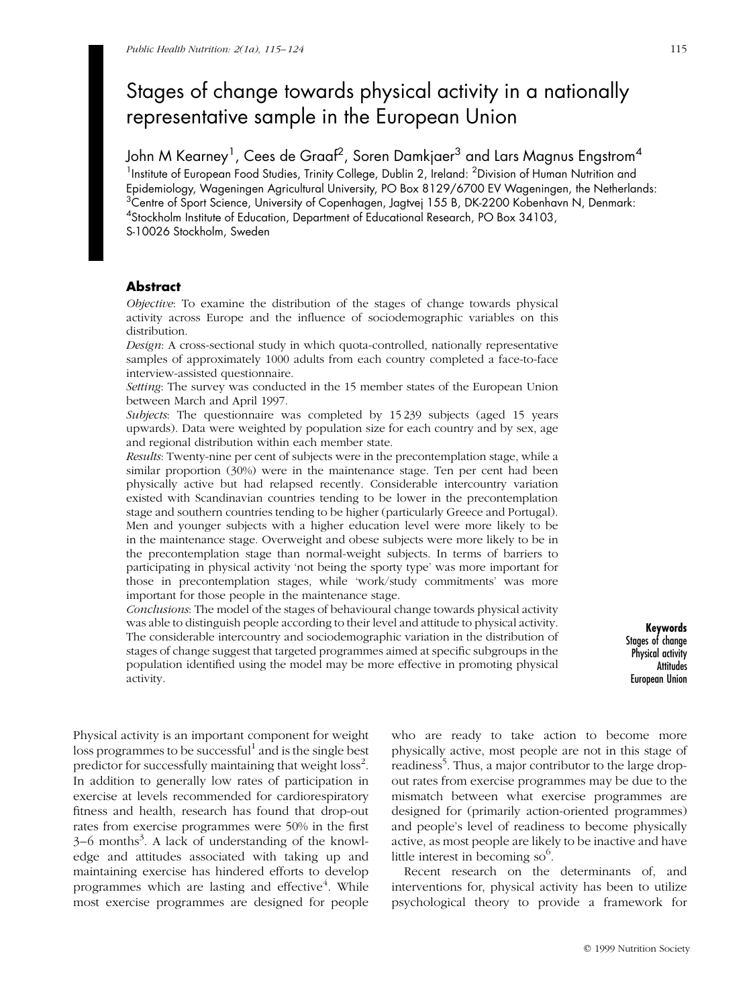# Stages of change towards physical activity in a nationally representative sample in the European Union

John M Kearney $^{\rm l}$ , Cees de Graaf $^{\rm 2}$ , Soren Damkjaer $^{\rm 3}$  and Lars Magnus Engstrom $^{\rm 4}$ <sup>1</sup>Institute of European Food Studies, Trinity College, Dublin 2, Ireland: <sup>2</sup>Division of Human Nutrition and Epidemiology, Wageningen Agricultural University, PO Box 8129/6700 EV Wageningen, the Netherlands: <sup>3</sup>Centre of Sport Science, University of Copenhagen, Jagtvej 155 B, DK-2200 Kobenhavn N, Denmark: 4 Stockholm Institute of Education, Department of Educational Research, PO Box 34103, S-10026 Stockholm, Sweden

## **Abstract**

*Objective*: To examine the distribution of the stages of change towards physical activity across Europe and the influence of sociodemographic variables on this distribution.

*Design*: A cross-sectional study in which quota-controlled, nationally representative samples of approximately 1000 adults from each country completed a face-to-face interview-assisted questionnaire.

*Setting*: The survey was conducted in the 15 member states of the European Union between March and April 1997.

*Subjects*: The questionnaire was completed by 15 239 subjects (aged 15 years upwards). Data were weighted by population size for each country and by sex, age and regional distribution within each member state.

*Results*: Twenty-nine per cent of subjects were in the precontemplation stage, while a similar proportion (30%) were in the maintenance stage. Ten per cent had been physically active but had relapsed recently. Considerable intercountry variation existed with Scandinavian countries tending to be lower in the precontemplation stage and southern countries tending to be higher (particularly Greece and Portugal). Men and younger subjects with a higher education level were more likely to be in the maintenance stage. Overweight and obese subjects were more likely to be in the precontemplation stage than normal-weight subjects. In terms of barriers to participating in physical activity 'not being the sporty type' was more important for those in precontemplation stages, while 'work/study commitments' was more important for those people in the maintenance stage.

*Conclusions*: The model of the stages of behavioural change towards physical activity was able to distinguish people according to their level and attitude to physical activity. The considerable intercountry and sociodemographic variation in the distribution of stages of change suggest that targeted programmes aimed at specific subgroups in the population identified using the model may be more effective in promoting physical activity.

**Keywords** Stages of change Physical activity **Attitudes** European Union

Physical activity is an important component for weight loss programmes to be successful<sup>1</sup> and is the single best predictor for successfully maintaining that weight loss<sup>2</sup>. In addition to generally low rates of participation in exercise at levels recommended for cardiorespiratory fitness and health, research has found that drop-out rates from exercise programmes were 50% in the first 3–6 months<sup>3</sup>. A lack of understanding of the knowledge and attitudes associated with taking up and maintaining exercise has hindered efforts to develop programmes which are lasting and effective<sup>4</sup>. While most exercise programmes are designed for people

who are ready to take action to become more physically active, most people are not in this stage of readiness<sup>5</sup>. Thus, a major contributor to the large dropout rates from exercise programmes may be due to the mismatch between what exercise programmes are designed for (primarily action-oriented programmes) and people's level of readiness to become physically active, as most people are likely to be inactive and have little interest in becoming  $so^6$ .

Recent research on the determinants of, and interventions for, physical activity has been to utilize psychological theory to provide a framework for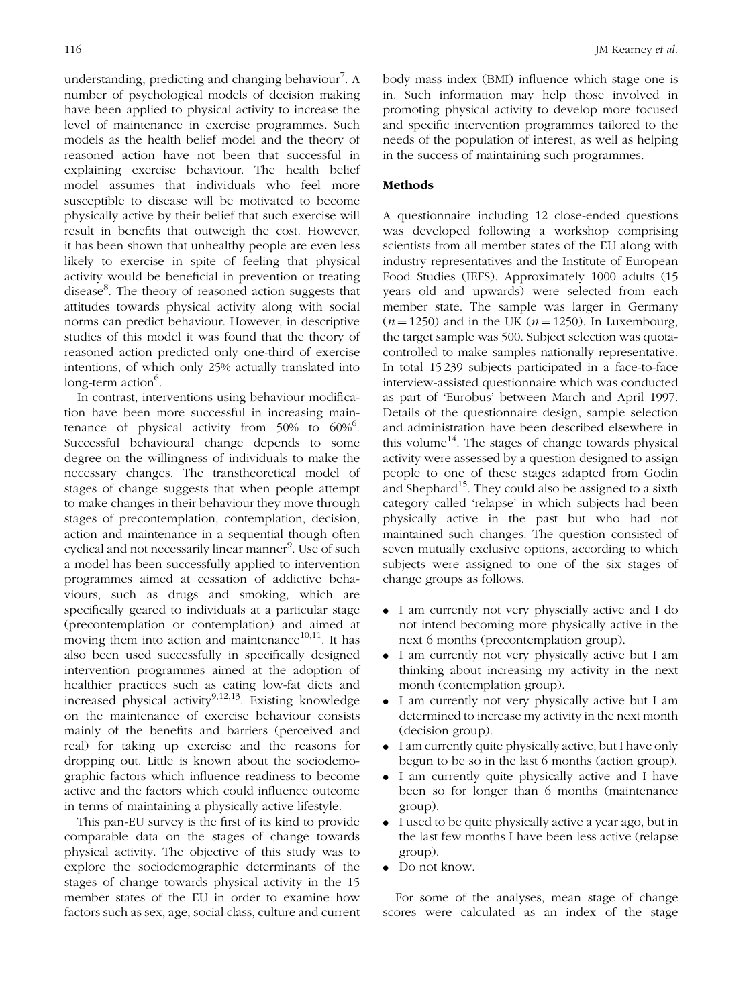understanding, predicting and changing behaviour<sup>7</sup>. A number of psychological models of decision making have been applied to physical activity to increase the level of maintenance in exercise programmes. Such models as the health belief model and the theory of reasoned action have not been that successful in explaining exercise behaviour. The health belief model assumes that individuals who feel more susceptible to disease will be motivated to become physically active by their belief that such exercise will result in benefits that outweigh the cost. However, it has been shown that unhealthy people are even less likely to exercise in spite of feeling that physical activity would be beneficial in prevention or treating disease<sup>8</sup>. The theory of reasoned action suggests that attitudes towards physical activity along with social norms can predict behaviour. However, in descriptive studies of this model it was found that the theory of reasoned action predicted only one-third of exercise intentions, of which only 25% actually translated into long-term action $^6$ .

In contrast, interventions using behaviour modification have been more successful in increasing maintenance of physical activity from 50% to  $60\%$ . Successful behavioural change depends to some degree on the willingness of individuals to make the necessary changes. The transtheoretical model of stages of change suggests that when people attempt to make changes in their behaviour they move through stages of precontemplation, contemplation, decision, action and maintenance in a sequential though often cyclical and not necessarily linear manner<sup>9</sup>. Use of such a model has been successfully applied to intervention programmes aimed at cessation of addictive behaviours, such as drugs and smoking, which are specifically geared to individuals at a particular stage (precontemplation or contemplation) and aimed at moving them into action and maintenance $10,11$ . It has also been used successfully in specifically designed intervention programmes aimed at the adoption of healthier practices such as eating low-fat diets and increased physical activity<sup>9,12,13</sup>. Existing knowledge on the maintenance of exercise behaviour consists mainly of the benefits and barriers (perceived and real) for taking up exercise and the reasons for dropping out. Little is known about the sociodemographic factors which influence readiness to become active and the factors which could influence outcome in terms of maintaining a physically active lifestyle.

This pan-EU survey is the first of its kind to provide comparable data on the stages of change towards physical activity. The objective of this study was to explore the sociodemographic determinants of the stages of change towards physical activity in the 15 member states of the EU in order to examine how factors such as sex, age, social class, culture and current body mass index (BMI) influence which stage one is in. Such information may help those involved in promoting physical activity to develop more focused and specific intervention programmes tailored to the needs of the population of interest, as well as helping in the success of maintaining such programmes.

## **Methods**

A questionnaire including 12 close-ended questions was developed following a workshop comprising scientists from all member states of the EU along with industry representatives and the Institute of European Food Studies (IEFS). Approximately 1000 adults (15 years old and upwards) were selected from each member state. The sample was larger in Germany  $(n=1250)$  and in the UK  $(n=1250)$ . In Luxembourg, the target sample was 500. Subject selection was quotacontrolled to make samples nationally representative. In total 15 239 subjects participated in a face-to-face interview-assisted questionnaire which was conducted as part of 'Eurobus' between March and April 1997. Details of the questionnaire design, sample selection and administration have been described elsewhere in this volume<sup>14</sup>. The stages of change towards physical activity were assessed by a question designed to assign people to one of these stages adapted from Godin and Shephard<sup>15</sup>. They could also be assigned to a sixth category called 'relapse' in which subjects had been physically active in the past but who had not maintained such changes. The question consisted of seven mutually exclusive options, according to which subjects were assigned to one of the six stages of change groups as follows.

- I am currently not very physcially active and I do not intend becoming more physically active in the next 6 months (precontemplation group).
- I am currently not very physically active but I am thinking about increasing my activity in the next month (contemplation group).
- I am currently not very physically active but I am determined to increase my activity in the next month (decision group).
- I am currently quite physically active, but I have only begun to be so in the last 6 months (action group).
- I am currently quite physically active and I have been so for longer than 6 months (maintenance group).
- I used to be quite physically active a year ago, but in the last few months I have been less active (relapse group).
- $\bullet$  Do not know.

For some of the analyses, mean stage of change scores were calculated as an index of the stage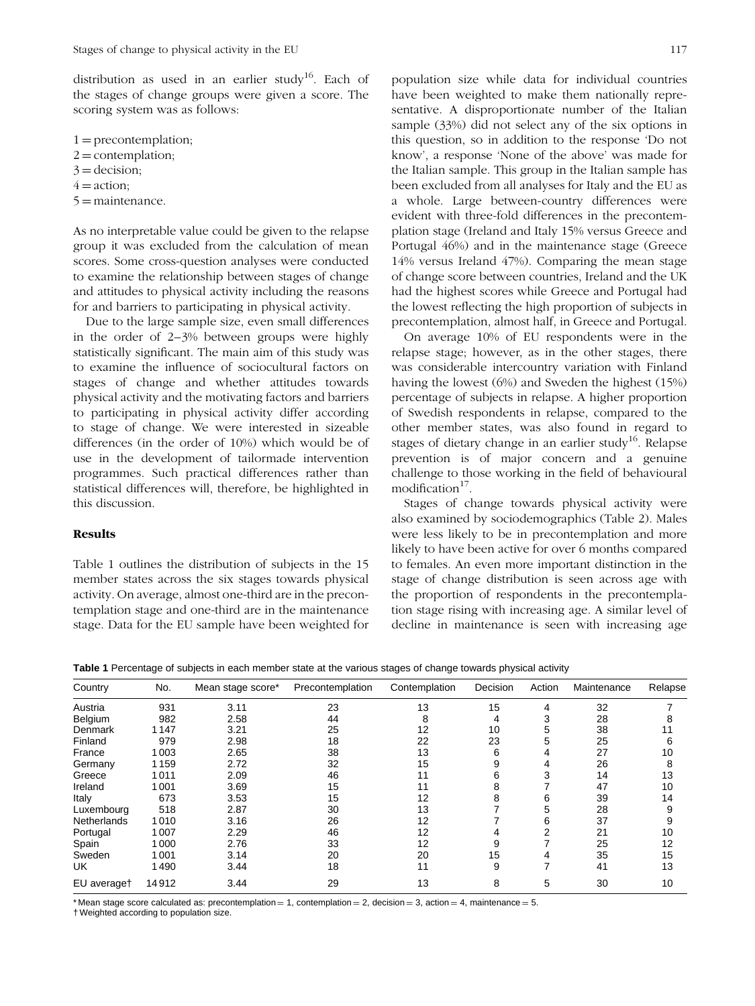distribution as used in an earlier study<sup>16</sup>. Each of the stages of change groups were given a score. The scoring system was as follows:

 $1 =$  precontemplation;

- $2 =$  contemplation;
- $3 =$  decision;
- $4 =$ action:
- $5 =$  maintenance.

As no interpretable value could be given to the relapse group it was excluded from the calculation of mean scores. Some cross-question analyses were conducted to examine the relationship between stages of change and attitudes to physical activity including the reasons for and barriers to participating in physical activity.

Due to the large sample size, even small differences in the order of 2–3% between groups were highly statistically significant. The main aim of this study was to examine the influence of sociocultural factors on stages of change and whether attitudes towards physical activity and the motivating factors and barriers to participating in physical activity differ according to stage of change. We were interested in sizeable differences (in the order of 10%) which would be of use in the development of tailormade intervention programmes. Such practical differences rather than statistical differences will, therefore, be highlighted in this discussion.

#### **Results**

Table 1 outlines the distribution of subjects in the 15 member states across the six stages towards physical activity. On average, almost one-third are in the precontemplation stage and one-third are in the maintenance stage. Data for the EU sample have been weighted for

population size while data for individual countries have been weighted to make them nationally representative. A disproportionate number of the Italian sample (33%) did not select any of the six options in this question, so in addition to the response 'Do not know', a response 'None of the above' was made for the Italian sample. This group in the Italian sample has been excluded from all analyses for Italy and the EU as a whole. Large between-country differences were evident with three-fold differences in the precontemplation stage (Ireland and Italy 15% versus Greece and Portugal 46%) and in the maintenance stage (Greece 14% versus Ireland 47%). Comparing the mean stage of change score between countries, Ireland and the UK had the highest scores while Greece and Portugal had the lowest reflecting the high proportion of subjects in precontemplation, almost half, in Greece and Portugal.

On average 10% of EU respondents were in the relapse stage; however, as in the other stages, there was considerable intercountry variation with Finland having the lowest (6%) and Sweden the highest (15%) percentage of subjects in relapse. A higher proportion of Swedish respondents in relapse, compared to the other member states, was also found in regard to stages of dietary change in an earlier study<sup>16</sup>. Relapse prevention is of major concern and a genuine challenge to those working in the field of behavioural modification $17$ .

Stages of change towards physical activity were also examined by sociodemographics (Table 2). Males were less likely to be in precontemplation and more likely to have been active for over 6 months compared to females. An even more important distinction in the stage of change distribution is seen across age with the proportion of respondents in the precontemplation stage rising with increasing age. A similar level of decline in maintenance is seen with increasing age

**Table 1** Percentage of subjects in each member state at the various stages of change towards physical activity

| Country     | No.   | Mean stage score* | Precontemplation | Contemplation | Decision | Action | Maintenance | Relapse |
|-------------|-------|-------------------|------------------|---------------|----------|--------|-------------|---------|
| Austria     | 931   | 3.11              | 23               | 13            | 15       |        | 32          |         |
| Belgium     | 982   | 2.58              | 44               | 8             | 4        |        | 28          | 8       |
| Denmark     | 1147  | 3.21              | 25               | 12            | 10       | 5      | 38          |         |
| Finland     | 979   | 2.98              | 18               | 22            | 23       | 5      | 25          | 6       |
| France      | 1003  | 2.65              | 38               | 13            | 6        |        | 27          | 10      |
| Germany     | 1159  | 2.72              | 32               | 15            | 9        |        | 26          | 8       |
| Greece      | 1011  | 2.09              | 46               | 11            | 6        |        | 14          | 13      |
| Ireland     | 1001  | 3.69              | 15               | 11            | 8        |        | 47          | 10      |
| Italy       | 673   | 3.53              | 15               | 12            | 8        | 6      | 39          | 14      |
| Luxembourg  | 518   | 2.87              | 30               | 13            |          | 5      | 28          | 9       |
| Netherlands | 1010  | 3.16              | 26               | 12            |          | 6      | 37          | 9       |
| Portugal    | 1007  | 2.29              | 46               | 12            |          |        | 21          | 10      |
| Spain       | 1000  | 2.76              | 33               | 12            | 9        |        | 25          | 12      |
| Sweden      | 1001  | 3.14              | 20               | 20            | 15       |        | 35          | 15      |
| UK          | 1490  | 3.44              | 18               | 11            | 9        |        | 41          | 13      |
| EU averaget | 14912 | 3.44              | 29               | 13            | 8        | 5      | 30          | 10      |

\* Mean stage score calculated as: precontemplation = 1, contemplation = 2, decision = 3, action = 4, maintenance = 5. † Weighted according to population size.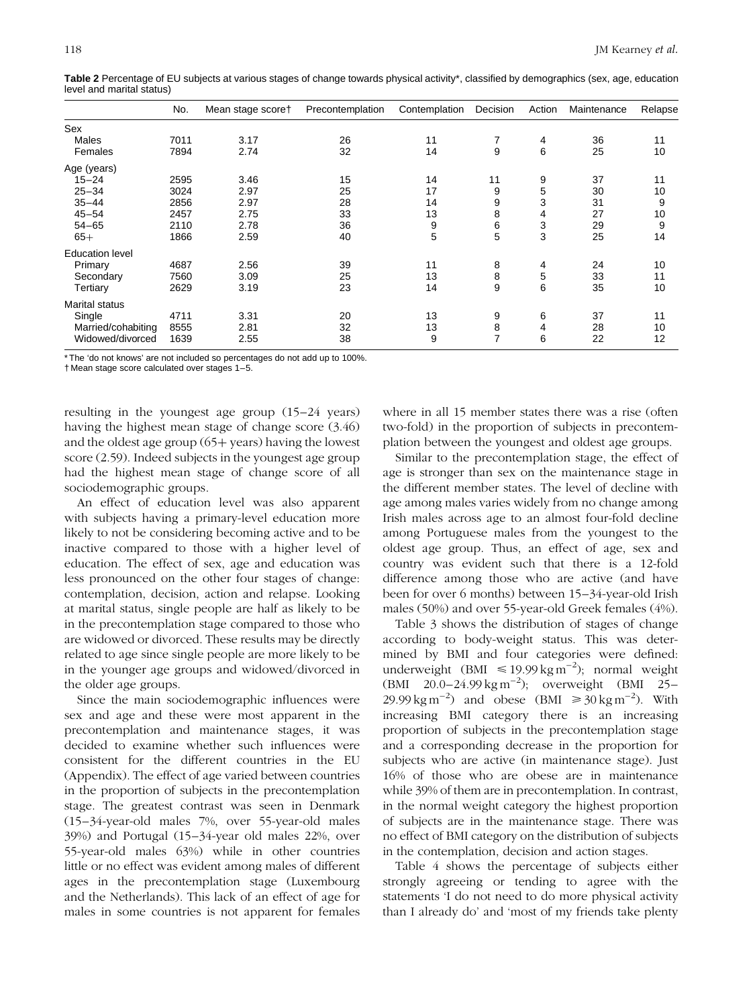|                        | No.  | Mean stage scoret | Precontemplation | Contemplation | Decision | Action | Maintenance | Relapse |
|------------------------|------|-------------------|------------------|---------------|----------|--------|-------------|---------|
| Sex                    |      |                   |                  |               |          |        |             |         |
| Males                  | 7011 | 3.17              | 26               | 11            |          | 4      | 36          | 11      |
| Females                | 7894 | 2.74              | 32               | 14            | 9        | 6      | 25          | 10      |
| Age (years)            |      |                   |                  |               |          |        |             |         |
| $15 - 24$              | 2595 | 3.46              | 15               | 14            | 11       | 9      | 37          | 11      |
| $25 - 34$              | 3024 | 2.97              | 25               | 17            | 9        | 5      | 30          | 10      |
| $35 - 44$              | 2856 | 2.97              | 28               | 14            | 9        | 3      | 31          | 9       |
| $45 - 54$              | 2457 | 2.75              | 33               | 13            | 8        | 4      | 27          | 10      |
| $54 - 65$              | 2110 | 2.78              | 36               | 9             | 6        | 3      | 29          | 9       |
| $65+$                  | 1866 | 2.59              | 40               | 5             | 5        | 3      | 25          | 14      |
| <b>Education level</b> |      |                   |                  |               |          |        |             |         |
| Primary                | 4687 | 2.56              | 39               | 11            | 8        | 4      | 24          | 10      |
| Secondary              | 7560 | 3.09              | 25               | 13            | 8        | 5      | 33          | 11      |
| Tertiary               | 2629 | 3.19              | 23               | 14            | 9        | 6      | 35          | 10      |
| <b>Marital status</b>  |      |                   |                  |               |          |        |             |         |
| Single                 | 4711 | 3.31              | 20               | 13            | 9        | 6      | 37          | 11      |
| Married/cohabiting     | 8555 | 2.81              | 32               | 13            | 8        | 4      | 28          | 10      |
| Widowed/divorced       | 1639 | 2.55              | 38               | 9             | 7        | 6      | 22          | 12      |

Table 2 Percentage of EU subjects at various stages of change towards physical activity\*, classified by demographics (sex, age, education level and marital status)

\* The 'do not knows' are not included so percentages do not add up to 100%.

† Mean stage score calculated over stages 1–5.

resulting in the youngest age group (15–24 years) having the highest mean stage of change score (3.46) and the oldest age group  $(65 + \text{years})$  having the lowest score (2.59). Indeed subjects in the youngest age group had the highest mean stage of change score of all sociodemographic groups.

An effect of education level was also apparent with subjects having a primary-level education more likely to not be considering becoming active and to be inactive compared to those with a higher level of education. The effect of sex, age and education was less pronounced on the other four stages of change: contemplation, decision, action and relapse. Looking at marital status, single people are half as likely to be in the precontemplation stage compared to those who are widowed or divorced. These results may be directly related to age since single people are more likely to be in the younger age groups and widowed/divorced in the older age groups.

Since the main sociodemographic influences were sex and age and these were most apparent in the precontemplation and maintenance stages, it was decided to examine whether such influences were consistent for the different countries in the EU (Appendix). The effect of age varied between countries in the proportion of subjects in the precontemplation stage. The greatest contrast was seen in Denmark (15–34-year-old males 7%, over 55-year-old males 39%) and Portugal (15–34-year old males 22%, over 55-year-old males 63%) while in other countries little or no effect was evident among males of different ages in the precontemplation stage (Luxembourg and the Netherlands). This lack of an effect of age for males in some countries is not apparent for females where in all 15 member states there was a rise (often two-fold) in the proportion of subjects in precontemplation between the youngest and oldest age groups.

Similar to the precontemplation stage, the effect of age is stronger than sex on the maintenance stage in the different member states. The level of decline with age among males varies widely from no change among Irish males across age to an almost four-fold decline among Portuguese males from the youngest to the oldest age group. Thus, an effect of age, sex and country was evident such that there is a 12-fold difference among those who are active (and have been for over 6 months) between 15–34-year-old Irish males (50%) and over 55-year-old Greek females (4%).

Table 3 shows the distribution of stages of change according to body-weight status. This was determined by BMI and four categories were defined: underweight (BMI  $\leq 19.99 \,\mathrm{kg \, m}^{-2}$ ); normal weight (BMI 20.0–24.99 kg m–2); overweight (BMI 25– 29.99 kg m<sup>-2</sup>) and obese (BMI  $\geq 30$  kg m<sup>-2</sup>). With increasing BMI category there is an increasing proportion of subjects in the precontemplation stage and a corresponding decrease in the proportion for subjects who are active (in maintenance stage). Just 16% of those who are obese are in maintenance while 39% of them are in precontemplation. In contrast, in the normal weight category the highest proportion of subjects are in the maintenance stage. There was no effect of BMI category on the distribution of subjects in the contemplation, decision and action stages.

Table 4 shows the percentage of subjects either strongly agreeing or tending to agree with the statements 'I do not need to do more physical activity than I already do' and 'most of my friends take plenty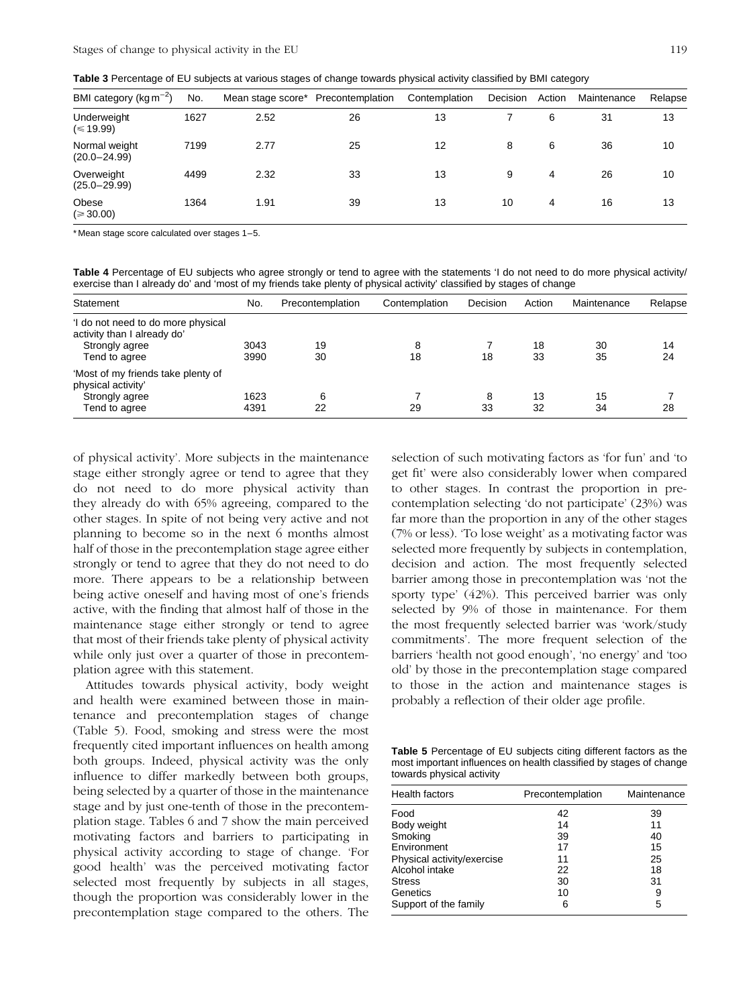| Table 3 Percentage of EU subjects at various stages of change towards physical activity classified by BMI category |  |
|--------------------------------------------------------------------------------------------------------------------|--|
|--------------------------------------------------------------------------------------------------------------------|--|

| BMI category (kg $m^{-2}$ )       | No.  | Mean stage score* Precontemplation |    | Contemplation | Decision | Action | Maintenance | Relapse |
|-----------------------------------|------|------------------------------------|----|---------------|----------|--------|-------------|---------|
| Underweight<br>$(\leq 19.99)$     | 1627 | 2.52                               | 26 | 13            |          | 6      | 31          | 13      |
| Normal weight<br>$(20.0 - 24.99)$ | 7199 | 2.77                               | 25 | 12            | 8        | 6      | 36          | 10      |
| Overweight<br>$(25.0 - 29.99)$    | 4499 | 2.32                               | 33 | 13            | 9        | 4      | 26          | 10      |
| Obese<br>$(\geq 30.00)$           | 1364 | 1.91                               | 39 | 13            | 10       | 4      | 16          | 13      |

\* Mean stage score calculated over stages 1–5.

Table 4 Percentage of EU subjects who agree strongly or tend to agree with the statements 'I do not need to do more physical activity/ exercise than I already do' and 'most of my friends take plenty of physical activity' classified by stages of change

| Statement                                                         | No.  | Precontemplation | Contemplation | Decision | Action | Maintenance | Relapse |
|-------------------------------------------------------------------|------|------------------|---------------|----------|--------|-------------|---------|
| 'I do not need to do more physical<br>activity than I already do' |      |                  |               |          |        |             |         |
| Strongly agree                                                    | 3043 | 19               | 8             |          | 18     | 30          | 14      |
| Tend to agree                                                     | 3990 | 30               | 18            | 18       | 33     | 35          | 24      |
| 'Most of my friends take plenty of<br>physical activity'          |      |                  |               |          |        |             |         |
| Strongly agree                                                    | 1623 | 6                |               | 8        | 13     | 15          |         |
| Tend to agree                                                     | 4391 | 22               | 29            | 33       | 32     | 34          | 28      |

of physical activity'. More subjects in the maintenance stage either strongly agree or tend to agree that they do not need to do more physical activity than they already do with 65% agreeing, compared to the other stages. In spite of not being very active and not planning to become so in the next 6 months almost half of those in the precontemplation stage agree either strongly or tend to agree that they do not need to do more. There appears to be a relationship between being active oneself and having most of one's friends active, with the finding that almost half of those in the maintenance stage either strongly or tend to agree that most of their friends take plenty of physical activity while only just over a quarter of those in precontemplation agree with this statement.

Attitudes towards physical activity, body weight and health were examined between those in maintenance and precontemplation stages of change (Table 5). Food, smoking and stress were the most frequently cited important influences on health among both groups. Indeed, physical activity was the only influence to differ markedly between both groups, being selected by a quarter of those in the maintenance stage and by just one-tenth of those in the precontemplation stage. Tables 6 and 7 show the main perceived motivating factors and barriers to participating in physical activity according to stage of change. 'For good health' was the perceived motivating factor selected most frequently by subjects in all stages, though the proportion was considerably lower in the precontemplation stage compared to the others. The

selection of such motivating factors as 'for fun' and 'to get fit' were also considerably lower when compared to other stages. In contrast the proportion in precontemplation selecting 'do not participate' (23%) was far more than the proportion in any of the other stages (7% or less). 'To lose weight' as a motivating factor was selected more frequently by subjects in contemplation, decision and action. The most frequently selected barrier among those in precontemplation was 'not the sporty type' (42%). This perceived barrier was only selected by 9% of those in maintenance. For them the most frequently selected barrier was 'work/study commitments'. The more frequent selection of the barriers 'health not good enough', 'no energy' and 'too old' by those in the precontemplation stage compared to those in the action and maintenance stages is probably a reflection of their older age profile.

**Table 5** Percentage of EU subjects citing different factors as the most important influences on health classified by stages of change towards physical activity

| Health factors             | Precontemplation | Maintenance |
|----------------------------|------------------|-------------|
| Food                       | 42               | 39          |
| Body weight                | 14               | 11          |
| Smoking                    | 39               | 40          |
| Environment                | 17               | 15          |
| Physical activity/exercise | 11               | 25          |
| Alcohol intake             | 22               | 18          |
| Stress                     | 30               | 31          |
| Genetics                   | 10               | 9           |
| Support of the family      | 6                | 5           |
|                            |                  |             |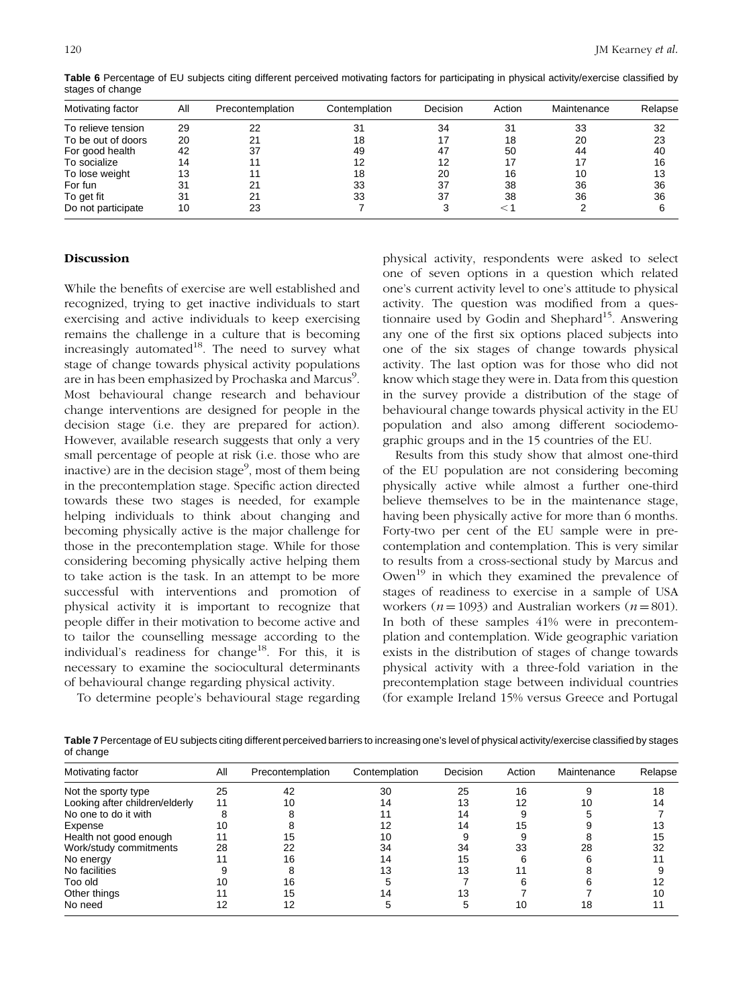| Motivating factor  | All | Precontemplation | Contemplation | Decision | Action | Maintenance | Relapse |
|--------------------|-----|------------------|---------------|----------|--------|-------------|---------|
| To relieve tension | 29  | 22               | 31            | 34       | 31     | 33          | 32      |
| To be out of doors | 20  | 21               | 18            | 17       | 18     | 20          | 23      |
| For good health    | 42  | 37               | 49            | 47       | 50     | 44          | 40      |
| To socialize       | 14  |                  | 12            | 12       | 17     |             | 16      |
| To lose weight     | 13  |                  | 18            | 20       | 16     | 10          | 13      |
| For fun            | 31  | 21               | 33            | 37       | 38     | 36          | 36      |
| To get fit         | 31  | 21               | 33            | 37       | 38     | 36          | 36      |
| Do not participate | 10  | 23               |               | 3        |        |             |         |

Table 6 Percentage of EU subjects citing different perceived motivating factors for participating in physical activity/exercise classified by stages of change

#### **Discussion**

While the benefits of exercise are well established and recognized, trying to get inactive individuals to start exercising and active individuals to keep exercising remains the challenge in a culture that is becoming increasingly automated<sup>18</sup>. The need to survey what stage of change towards physical activity populations are in has been emphasized by Prochaska and Marcus<sup>9</sup>. Most behavioural change research and behaviour change interventions are designed for people in the decision stage (i.e. they are prepared for action). However, available research suggests that only a very small percentage of people at risk (i.e. those who are inactive) are in the decision stage<sup>9</sup>, most of them being in the precontemplation stage. Specific action directed towards these two stages is needed, for example helping individuals to think about changing and becoming physically active is the major challenge for those in the precontemplation stage. While for those considering becoming physically active helping them to take action is the task. In an attempt to be more successful with interventions and promotion of physical activity it is important to recognize that people differ in their motivation to become active and to tailor the counselling message according to the individual's readiness for change<sup>18</sup>. For this, it is necessary to examine the sociocultural determinants of behavioural change regarding physical activity.

To determine people's behavioural stage regarding

physical activity, respondents were asked to select one of seven options in a question which related one's current activity level to one's attitude to physical activity. The question was modified from a questionnaire used by Godin and Shephard<sup>15</sup>. Answering any one of the first six options placed subjects into one of the six stages of change towards physical activity. The last option was for those who did not know which stage they were in. Data from this question in the survey provide a distribution of the stage of behavioural change towards physical activity in the EU population and also among different sociodemographic groups and in the 15 countries of the EU.

Results from this study show that almost one-third of the EU population are not considering becoming physically active while almost a further one-third believe themselves to be in the maintenance stage, having been physically active for more than 6 months. Forty-two per cent of the EU sample were in precontemplation and contemplation. This is very similar to results from a cross-sectional study by Marcus and Owen<sup>19</sup> in which they examined the prevalence of stages of readiness to exercise in a sample of USA workers ( $n = 1093$ ) and Australian workers ( $n = 801$ ). In both of these samples 41% were in precontemplation and contemplation. Wide geographic variation exists in the distribution of stages of change towards physical activity with a three-fold variation in the precontemplation stage between individual countries (for example Ireland 15% versus Greece and Portugal

**Table 7** Percentage of EU subjects citing different perceived barriers to increasing one's level of physical activity/exercise classified by stages of change

| Motivating factor              | All | Precontemplation | Contemplation | Decision | Action | Maintenance | Relapse |
|--------------------------------|-----|------------------|---------------|----------|--------|-------------|---------|
| Not the sporty type            | 25  | 42               | 30            | 25       | 16     |             | 18      |
| Looking after children/elderly | 11  | 10               | 14            | 13       | 12     | 10          | 14      |
| No one to do it with           |     |                  |               | 14       |        |             |         |
| Expense                        | 10  |                  |               | 14       | 15     |             | 13      |
| Health not good enough         |     | 15               | 10            |          |        |             | 15      |
| Work/study commitments         | 28  | 22               | 34            | 34       | 33     | 28          | 32      |
| No energy                      |     | 16               | 14            | 15       | 6      |             |         |
| No facilities                  |     |                  |               | 13       |        |             |         |
| Too old                        |     | 16               |               |          |        |             | 12      |
| Other things                   |     | 15               |               | 13       |        |             | 10      |
| No need                        |     | 12               |               |          | 10     | 18          |         |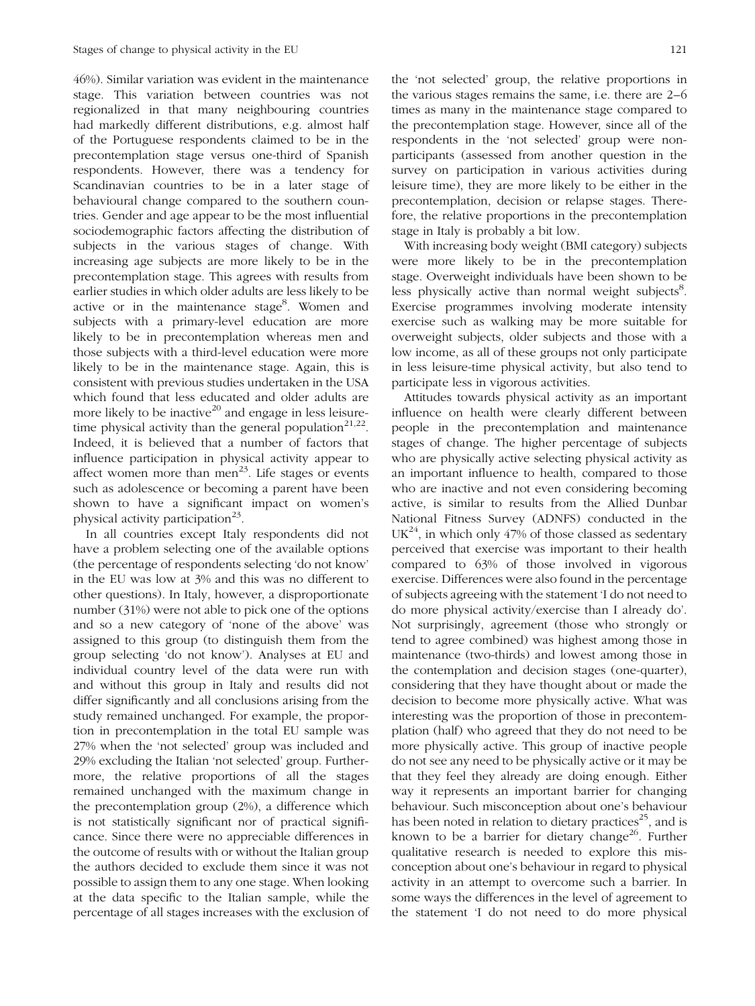46%). Similar variation was evident in the maintenance stage. This variation between countries was not regionalized in that many neighbouring countries had markedly different distributions, e.g. almost half of the Portuguese respondents claimed to be in the precontemplation stage versus one-third of Spanish respondents. However, there was a tendency for Scandinavian countries to be in a later stage of behavioural change compared to the southern countries. Gender and age appear to be the most influential sociodemographic factors affecting the distribution of subjects in the various stages of change. With increasing age subjects are more likely to be in the precontemplation stage. This agrees with results from earlier studies in which older adults are less likely to be active or in the maintenance stage<sup>8</sup>. Women and subjects with a primary-level education are more likely to be in precontemplation whereas men and those subjects with a third-level education were more likely to be in the maintenance stage. Again, this is consistent with previous studies undertaken in the USA which found that less educated and older adults are more likely to be inactive<sup>20</sup> and engage in less leisuretime physical activity than the general population<sup>21,22</sup>. Indeed, it is believed that a number of factors that influence participation in physical activity appear to affect women more than men<sup>23</sup>. Life stages or events such as adolescence or becoming a parent have been shown to have a significant impact on women's physical activity participation $^{23}$ .

In all countries except Italy respondents did not have a problem selecting one of the available options (the percentage of respondents selecting 'do not know' in the EU was low at 3% and this was no different to other questions). In Italy, however, a disproportionate number (31%) were not able to pick one of the options and so a new category of 'none of the above' was assigned to this group (to distinguish them from the group selecting 'do not know'). Analyses at EU and individual country level of the data were run with and without this group in Italy and results did not differ significantly and all conclusions arising from the study remained unchanged. For example, the proportion in precontemplation in the total EU sample was 27% when the 'not selected' group was included and 29% excluding the Italian 'not selected' group. Furthermore, the relative proportions of all the stages remained unchanged with the maximum change in the precontemplation group (2%), a difference which is not statistically significant nor of practical significance. Since there were no appreciable differences in the outcome of results with or without the Italian group the authors decided to exclude them since it was not possible to assign them to any one stage. When looking at the data specific to the Italian sample, while the percentage of all stages increases with the exclusion of the 'not selected' group, the relative proportions in the various stages remains the same, i.e. there are 2–6 times as many in the maintenance stage compared to the precontemplation stage. However, since all of the respondents in the 'not selected' group were nonparticipants (assessed from another question in the survey on participation in various activities during leisure time), they are more likely to be either in the precontemplation, decision or relapse stages. Therefore, the relative proportions in the precontemplation stage in Italy is probably a bit low.

With increasing body weight (BMI category) subjects were more likely to be in the precontemplation stage. Overweight individuals have been shown to be less physically active than normal weight subjects<sup>8</sup>. Exercise programmes involving moderate intensity exercise such as walking may be more suitable for overweight subjects, older subjects and those with a low income, as all of these groups not only participate in less leisure-time physical activity, but also tend to participate less in vigorous activities.

Attitudes towards physical activity as an important influence on health were clearly different between people in the precontemplation and maintenance stages of change. The higher percentage of subjects who are physically active selecting physical activity as an important influence to health, compared to those who are inactive and not even considering becoming active, is similar to results from the Allied Dunbar National Fitness Survey (ADNFS) conducted in the  $UK<sup>24</sup>$ , in which only 47% of those classed as sedentary perceived that exercise was important to their health compared to 63% of those involved in vigorous exercise. Differences were also found in the percentage of subjects agreeing with the statement 'I do not need to do more physical activity/exercise than I already do'. Not surprisingly, agreement (those who strongly or tend to agree combined) was highest among those in maintenance (two-thirds) and lowest among those in the contemplation and decision stages (one-quarter), considering that they have thought about or made the decision to become more physically active. What was interesting was the proportion of those in precontemplation (half) who agreed that they do not need to be more physically active. This group of inactive people do not see any need to be physically active or it may be that they feel they already are doing enough. Either way it represents an important barrier for changing behaviour. Such misconception about one's behaviour has been noted in relation to dietary practices<sup>25</sup>, and is known to be a barrier for dietary change<sup>26</sup>. Further qualitative research is needed to explore this misconception about one's behaviour in regard to physical activity in an attempt to overcome such a barrier. In some ways the differences in the level of agreement to the statement 'I do not need to do more physical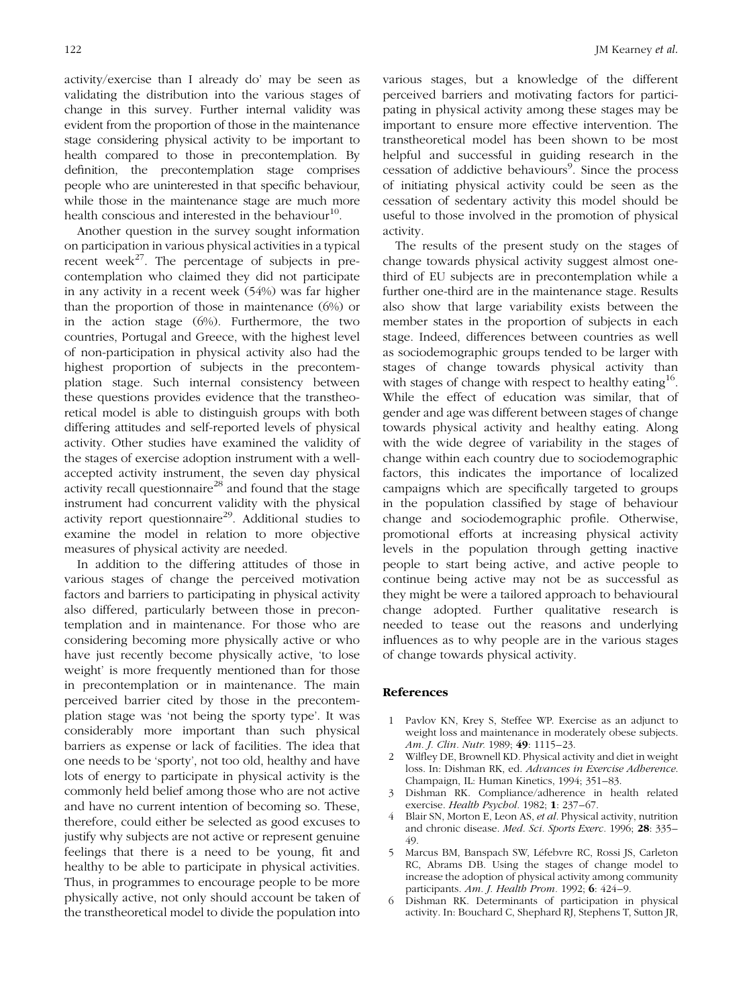activity/exercise than I already do' may be seen as validating the distribution into the various stages of change in this survey. Further internal validity was evident from the proportion of those in the maintenance stage considering physical activity to be important to health compared to those in precontemplation. By definition, the precontemplation stage comprises people who are uninterested in that specific behaviour, while those in the maintenance stage are much more health conscious and interested in the behaviour<sup>10</sup>.

Another question in the survey sought information on participation in various physical activities in a typical recent week $^{27}$ . The percentage of subjects in precontemplation who claimed they did not participate in any activity in a recent week (54%) was far higher than the proportion of those in maintenance (6%) or in the action stage (6%). Furthermore, the two countries, Portugal and Greece, with the highest level of non-participation in physical activity also had the highest proportion of subjects in the precontemplation stage. Such internal consistency between these questions provides evidence that the transtheoretical model is able to distinguish groups with both differing attitudes and self-reported levels of physical activity. Other studies have examined the validity of the stages of exercise adoption instrument with a wellaccepted activity instrument, the seven day physical activity recall questionnaire<sup>28</sup> and found that the stage instrument had concurrent validity with the physical activity report questionnaire<sup>29</sup>. Additional studies to examine the model in relation to more objective measures of physical activity are needed.

In addition to the differing attitudes of those in various stages of change the perceived motivation factors and barriers to participating in physical activity also differed, particularly between those in precontemplation and in maintenance. For those who are considering becoming more physically active or who have just recently become physically active, 'to lose weight' is more frequently mentioned than for those in precontemplation or in maintenance. The main perceived barrier cited by those in the precontemplation stage was 'not being the sporty type'. It was considerably more important than such physical barriers as expense or lack of facilities. The idea that one needs to be 'sporty', not too old, healthy and have lots of energy to participate in physical activity is the commonly held belief among those who are not active and have no current intention of becoming so. These, therefore, could either be selected as good excuses to justify why subjects are not active or represent genuine feelings that there is a need to be young, fit and healthy to be able to participate in physical activities. Thus, in programmes to encourage people to be more physically active, not only should account be taken of the transtheoretical model to divide the population into various stages, but a knowledge of the different perceived barriers and motivating factors for participating in physical activity among these stages may be important to ensure more effective intervention. The transtheoretical model has been shown to be most helpful and successful in guiding research in the cessation of addictive behaviours<sup>9</sup>. Since the process of initiating physical activity could be seen as the cessation of sedentary activity this model should be useful to those involved in the promotion of physical activity.

The results of the present study on the stages of change towards physical activity suggest almost onethird of EU subjects are in precontemplation while a further one-third are in the maintenance stage. Results also show that large variability exists between the member states in the proportion of subjects in each stage. Indeed, differences between countries as well as sociodemographic groups tended to be larger with stages of change towards physical activity than with stages of change with respect to healthy eating  $16$ . While the effect of education was similar, that of gender and age was different between stages of change towards physical activity and healthy eating. Along with the wide degree of variability in the stages of change within each country due to sociodemographic factors, this indicates the importance of localized campaigns which are specifically targeted to groups in the population classified by stage of behaviour change and sociodemographic profile. Otherwise, promotional efforts at increasing physical activity levels in the population through getting inactive people to start being active, and active people to continue being active may not be as successful as they might be were a tailored approach to behavioural change adopted. Further qualitative research is needed to tease out the reasons and underlying influences as to why people are in the various stages of change towards physical activity.

#### **References**

- 1 Pavlov KN, Krey S, Steffee WP. Exercise as an adjunct to weight loss and maintenance in moderately obese subjects. *Am. J. Clin. Nutr.* 1989; **49**: 1115–23.
- 2 Wilfley DE, Brownell KD. Physical activity and diet in weight loss. In: Dishman RK, ed. *Advances in Exercise Adherence*. Champaign, IL: Human Kinetics, 1994; 351–83.
- 3 Dishman RK. Compliance/adherence in health related exercise. *Health Psychol.* 1982; **1**: 237–67.
- 4 Blair SN, Morton E, Leon AS, *et al.* Physical activity, nutrition and chronic disease. *Med. Sci. Sports Exerc.* 1996; **28**: 335– 49.
- 5 Marcus BM, Banspach SW, Léfebvre RC, Rossi JS, Carleton RC, Abrams DB. Using the stages of change model to increase the adoption of physical activity among community participants. *Am. J. Health Prom.* 1992; **6**: 424–9.
- 6 Dishman RK. Determinants of participation in physical activity. In: Bouchard C, Shephard RJ, Stephens T, Sutton JR,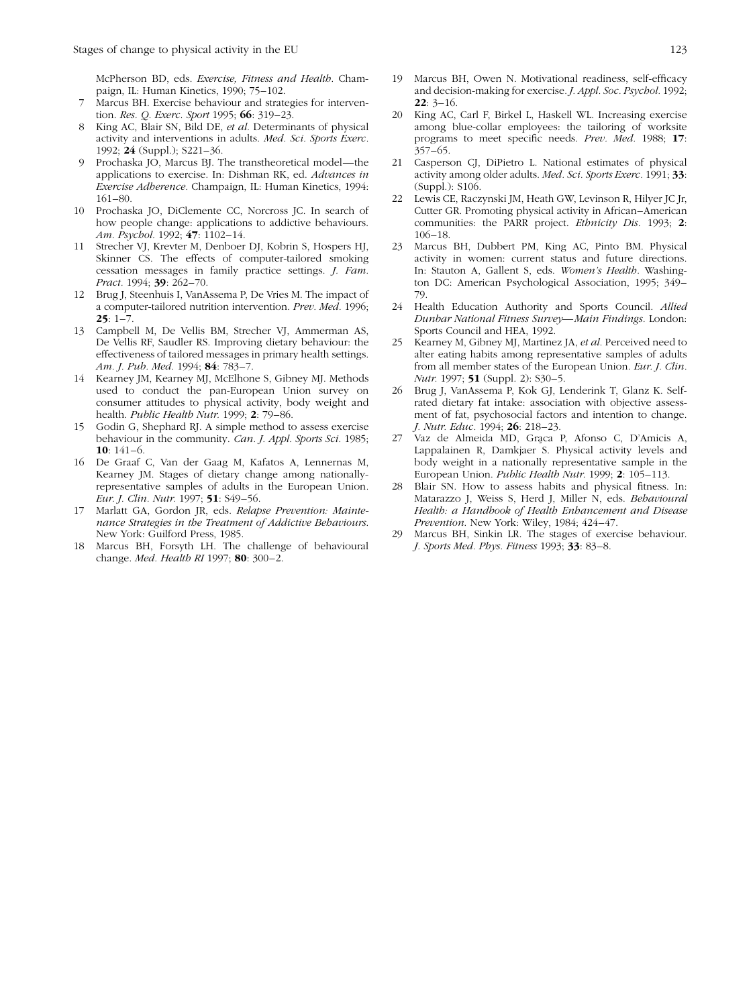McPherson BD, eds. *Exercise, Fitness and Health*. Champaign, IL: Human Kinetics, 1990; 75–102.

- 7 Marcus BH. Exercise behaviour and strategies for intervention. *Res. Q. Exerc. Sport* 1995; **66**: 319–23.
- 8 King AC, Blair SN, Bild DE, *et al.* Determinants of physical activity and interventions in adults. *Med. Sci. Sports Exerc.* 1992; **24** (Suppl.); S221–36.
- 9 Prochaska JO, Marcus BJ. The transtheoretical model—the applications to exercise. In: Dishman RK, ed. *Advances in Exercise Adherence.* Champaign, IL: Human Kinetics, 1994: 161–80.
- 10 Prochaska JO, DiClemente CC, Norcross JC. In search of how people change: applications to addictive behaviours. *Am. Psychol.* 1992; **47**: 1102–14.
- 11 Strecher VJ, Krevter M, Denboer DJ, Kobrin S, Hospers HJ, Skinner CS. The effects of computer-tailored smoking cessation messages in family practice settings. *J. Fam. Pract.* 1994; **39**: 262–70.
- 12 Brug J, Steenhuis I, VanAssema P, De Vries M. The impact of a computer-tailored nutrition intervention. *Prev. Med.* 1996; **25**: 1–7.
- 13 Campbell M, De Vellis BM, Strecher VJ, Ammerman AS, De Vellis RF, Saudler RS. Improving dietary behaviour: the effectiveness of tailored messages in primary health settings. *Am. J. Pub. Med.* 1994; **84**: 783–7.
- 14 Kearney JM, Kearney MJ, McElhone S, Gibney MJ. Methods used to conduct the pan-European Union survey on consumer attitudes to physical activity, body weight and health. *Public Health Nutr.* 1999; **2**: 79–86.
- 15 Godin G, Shephard RJ. A simple method to assess exercise behaviour in the community. *Can. J. Appl. Sports Sci.* 1985; **10**: 141–6.
- 16 De Graaf C, Van der Gaag M, Kafatos A, Lennernas M, Kearney JM. Stages of dietary change among nationallyrepresentative samples of adults in the European Union*. Eur. J. Clin. Nutr.* 1997; **51**: S49–56.
- 17 Marlatt GA, Gordon JR, eds. *Relapse Prevention: Maintenance Strategies in the Treatment of Addictive Behaviours*. New York: Guilford Press, 1985.
- 18 Marcus BH, Forsyth LH. The challenge of behavioural change. *Med. Health RI* 1997; **80**: 300–2.
- 19 Marcus BH, Owen N. Motivational readiness, self-efficacy and decision-making for exercise. *J. Appl. Soc. Psychol.* 1992; **22**: 3–16.
- 20 King AC, Carl F, Birkel L, Haskell WL. Increasing exercise among blue-collar employees: the tailoring of worksite programs to meet specific needs. *Prev. Med.* 1988; **17**: 357–65.
- 21 Casperson CJ, DiPietro L. National estimates of physical activity among older adults. *Med. Sci. Sports Exerc.* 1991; **33**: (Suppl.): S106.
- 22 Lewis CE, Raczynski JM, Heath GW, Levinson R, Hilyer JC Jr, Cutter GR. Promoting physical activity in African–American communities: the PARR project. *Ethnicity Dis.* 1993; **2**: 106–18.
- 23 Marcus BH, Dubbert PM, King AC, Pinto BM. Physical activity in women: current status and future directions. In: Stauton A, Gallent S, eds. *Women's Health*. Washington DC: American Psychological Association, 1995; 349– 79.
- 24 Health Education Authority and Sports Council. *Allied Dunbar National Fitness Survey—Main Findings.* London: Sports Council and HEA, 1992.
- 25 Kearney M, Gibney MJ, Martinez JA, *et al.* Perceived need to alter eating habits among representative samples of adults from all member states of the European Union. *Eur. J. Clin. Nutr.* 1997; **51** (Suppl. 2): S30–5.
- 26 Brug J, VanAssema P, Kok GJ, Lenderink T, Glanz K. Selfrated dietary fat intake: association with objective assessment of fat, psychosocial factors and intention to change. *J. Nutr. Educ.* 1994; **26**: 218–23.
- 27 Vaz de Almeida MD, Graca P, Afonso C, D'Amicis A, Lappalainen R, Damkjaer S. Physical activity levels and body weight in a nationally representative sample in the European Union. *Public Health Nutr*. 1999; **2**: 105–113.
- 28 Blair SN. How to assess habits and physical fitness. In: Matarazzo J, Weiss S, Herd J, Miller N, eds. *Behavioural Health: a Handbook of Health Enhancement and Disease Prevention*. New York: Wiley, 1984; 424–47.
- 29 Marcus BH, Sinkin LR. The stages of exercise behaviour. *J. Sports Med. Phys. Fitness* 1993; **33**: 83–8.